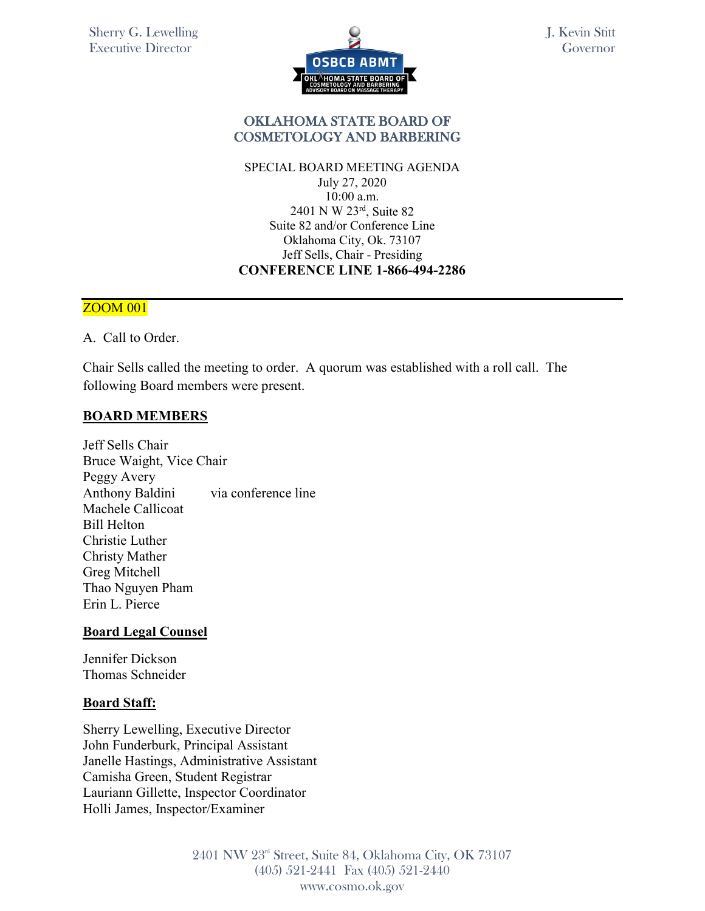

## OKLAHOMA STATE BOARD OF COSMETOLOGY AND BARBERING

SPECIAL BOARD MEETING AGENDA July 27, 2020 10:00 a.m. 2401 N W 23rd, Suite 82 Suite 82 and/or Conference Line Oklahoma City, Ok. 73107 Jeff Sells, Chair - Presiding **CONFERENCE LINE 1-866-494-2286** 

### ZOOM 001

A. Call to Order.

Chair Sells called the meeting to order. A quorum was established with a roll call. The following Board members were present.

### **BOARD MEMBERS**

Jeff Sells Chair Bruce Waight, Vice Chair Peggy Avery Anthony Baldini via conference line Machele Callicoat Bill Helton Christie Luther Christy Mather Greg Mitchell Thao Nguyen Pham Erin L. Pierce

### **Board Legal Counsel**

Jennifer Dickson Thomas Schneider

#### **Board Staff:**

Sherry Lewelling, Executive Director John Funderburk, Principal Assistant Janelle Hastings, Administrative Assistant Camisha Green, Student Registrar Lauriann Gillette, Inspector Coordinator Holli James, Inspector/Examiner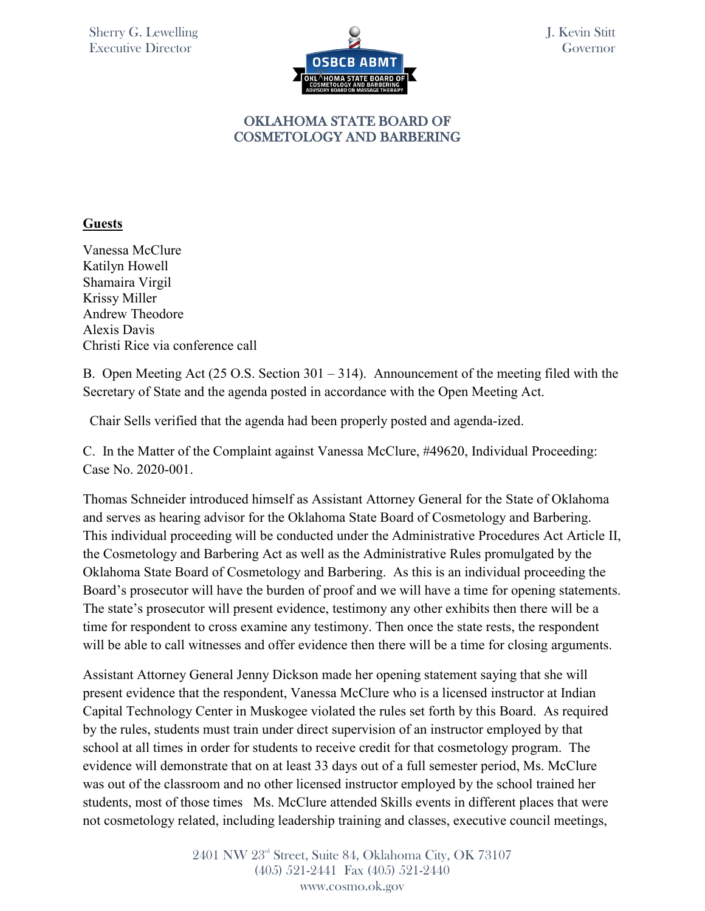

## **Guests**

Vanessa McClure Katilyn Howell Shamaira Virgil Krissy Miller Andrew Theodore Alexis Davis Christi Rice via conference call

B. Open Meeting Act (25 O.S. Section 301 – 314). Announcement of the meeting filed with the Secretary of State and the agenda posted in accordance with the Open Meeting Act.

Chair Sells verified that the agenda had been properly posted and agenda-ized.

C. In the Matter of the Complaint against Vanessa McClure, #49620, Individual Proceeding: Case No. 2020-001.

Thomas Schneider introduced himself as Assistant Attorney General for the State of Oklahoma and serves as hearing advisor for the Oklahoma State Board of Cosmetology and Barbering. This individual proceeding will be conducted under the Administrative Procedures Act Article II, the Cosmetology and Barbering Act as well as the Administrative Rules promulgated by the Oklahoma State Board of Cosmetology and Barbering. As this is an individual proceeding the Board's prosecutor will have the burden of proof and we will have a time for opening statements. The state's prosecutor will present evidence, testimony any other exhibits then there will be a time for respondent to cross examine any testimony. Then once the state rests, the respondent will be able to call witnesses and offer evidence then there will be a time for closing arguments.

Assistant Attorney General Jenny Dickson made her opening statement saying that she will present evidence that the respondent, Vanessa McClure who is a licensed instructor at Indian Capital Technology Center in Muskogee violated the rules set forth by this Board. As required by the rules, students must train under direct supervision of an instructor employed by that school at all times in order for students to receive credit for that cosmetology program. The evidence will demonstrate that on at least 33 days out of a full semester period, Ms. McClure was out of the classroom and no other licensed instructor employed by the school trained her students, most of those times Ms. McClure attended Skills events in different places that were not cosmetology related, including leadership training and classes, executive council meetings,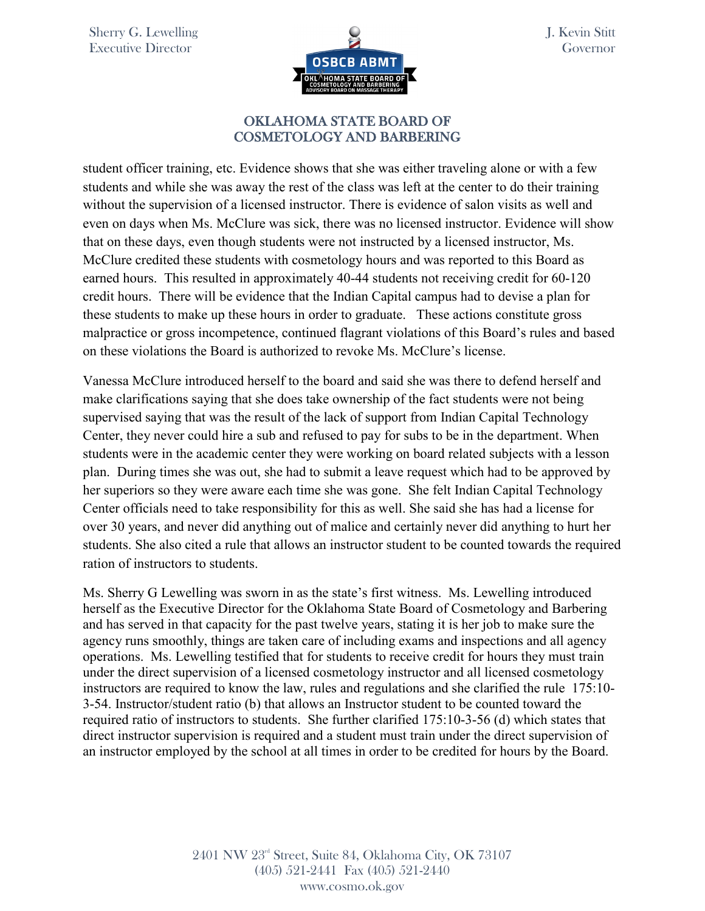

student officer training, etc. Evidence shows that she was either traveling alone or with a few students and while she was away the rest of the class was left at the center to do their training without the supervision of a licensed instructor. There is evidence of salon visits as well and even on days when Ms. McClure was sick, there was no licensed instructor. Evidence will show that on these days, even though students were not instructed by a licensed instructor, Ms. McClure credited these students with cosmetology hours and was reported to this Board as earned hours. This resulted in approximately 40-44 students not receiving credit for 60-120 credit hours. There will be evidence that the Indian Capital campus had to devise a plan for these students to make up these hours in order to graduate. These actions constitute gross malpractice or gross incompetence, continued flagrant violations of this Board's rules and based on these violations the Board is authorized to revoke Ms. McClure's license.

Vanessa McClure introduced herself to the board and said she was there to defend herself and make clarifications saying that she does take ownership of the fact students were not being supervised saying that was the result of the lack of support from Indian Capital Technology Center, they never could hire a sub and refused to pay for subs to be in the department. When students were in the academic center they were working on board related subjects with a lesson plan. During times she was out, she had to submit a leave request which had to be approved by her superiors so they were aware each time she was gone. She felt Indian Capital Technology Center officials need to take responsibility for this as well. She said she has had a license for over 30 years, and never did anything out of malice and certainly never did anything to hurt her students. She also cited a rule that allows an instructor student to be counted towards the required ration of instructors to students.

Ms. Sherry G Lewelling was sworn in as the state's first witness. Ms. Lewelling introduced herself as the Executive Director for the Oklahoma State Board of Cosmetology and Barbering and has served in that capacity for the past twelve years, stating it is her job to make sure the agency runs smoothly, things are taken care of including exams and inspections and all agency operations. Ms. Lewelling testified that for students to receive credit for hours they must train under the direct supervision of a licensed cosmetology instructor and all licensed cosmetology instructors are required to know the law, rules and regulations and she clarified the rule 175:10- 3-54. Instructor/student ratio (b) that allows an Instructor student to be counted toward the required ratio of instructors to students. She further clarified 175:10-3-56 (d) which states that direct instructor supervision is required and a student must train under the direct supervision of an instructor employed by the school at all times in order to be credited for hours by the Board.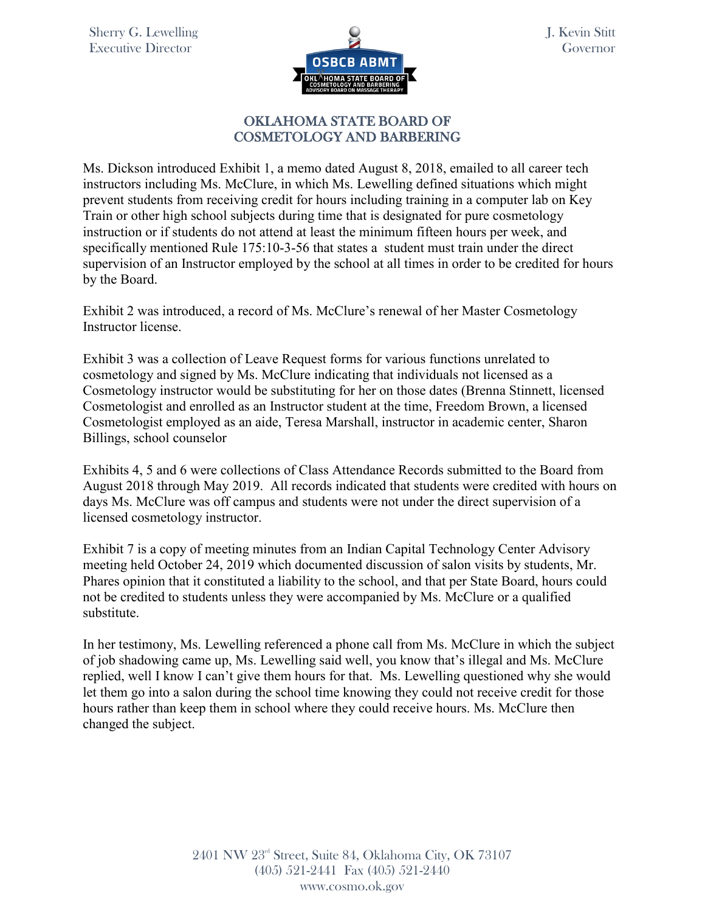

## OKLAHOMA STATE BOARD OF COSMETOLOGY AND BARBERING

Ms. Dickson introduced Exhibit 1, a memo dated August 8, 2018, emailed to all career tech instructors including Ms. McClure, in which Ms. Lewelling defined situations which might prevent students from receiving credit for hours including training in a computer lab on Key Train or other high school subjects during time that is designated for pure cosmetology instruction or if students do not attend at least the minimum fifteen hours per week, and specifically mentioned Rule 175:10-3-56 that states a student must train under the direct supervision of an Instructor employed by the school at all times in order to be credited for hours by the Board.

Exhibit 2 was introduced, a record of Ms. McClure's renewal of her Master Cosmetology Instructor license.

Exhibit 3 was a collection of Leave Request forms for various functions unrelated to cosmetology and signed by Ms. McClure indicating that individuals not licensed as a Cosmetology instructor would be substituting for her on those dates (Brenna Stinnett, licensed Cosmetologist and enrolled as an Instructor student at the time, Freedom Brown, a licensed Cosmetologist employed as an aide, Teresa Marshall, instructor in academic center, Sharon Billings, school counselor

Exhibits 4, 5 and 6 were collections of Class Attendance Records submitted to the Board from August 2018 through May 2019. All records indicated that students were credited with hours on days Ms. McClure was off campus and students were not under the direct supervision of a licensed cosmetology instructor.

Exhibit 7 is a copy of meeting minutes from an Indian Capital Technology Center Advisory meeting held October 24, 2019 which documented discussion of salon visits by students, Mr. Phares opinion that it constituted a liability to the school, and that per State Board, hours could not be credited to students unless they were accompanied by Ms. McClure or a qualified substitute.

In her testimony, Ms. Lewelling referenced a phone call from Ms. McClure in which the subject of job shadowing came up, Ms. Lewelling said well, you know that's illegal and Ms. McClure replied, well I know I can't give them hours for that. Ms. Lewelling questioned why she would let them go into a salon during the school time knowing they could not receive credit for those hours rather than keep them in school where they could receive hours. Ms. McClure then changed the subject.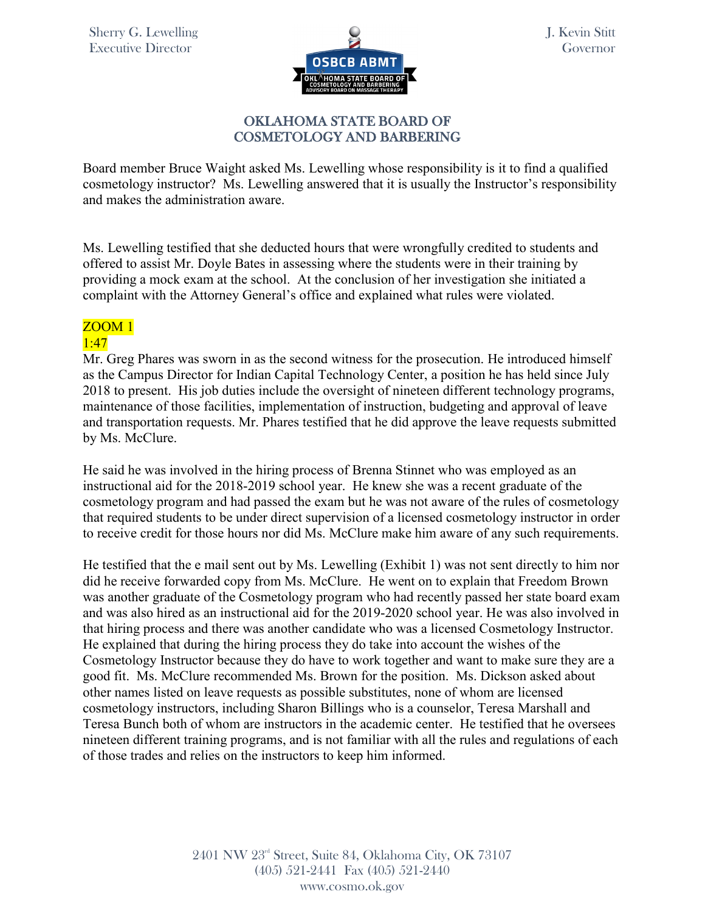

## OKLAHOMA STATE BOARD OF COSMETOLOGY AND BARBERING

Board member Bruce Waight asked Ms. Lewelling whose responsibility is it to find a qualified cosmetology instructor? Ms. Lewelling answered that it is usually the Instructor's responsibility and makes the administration aware.

Ms. Lewelling testified that she deducted hours that were wrongfully credited to students and offered to assist Mr. Doyle Bates in assessing where the students were in their training by providing a mock exam at the school. At the conclusion of her investigation she initiated a complaint with the Attorney General's office and explained what rules were violated.

# ZOOM 1

## 1:47

Mr. Greg Phares was sworn in as the second witness for the prosecution. He introduced himself as the Campus Director for Indian Capital Technology Center, a position he has held since July 2018 to present. His job duties include the oversight of nineteen different technology programs, maintenance of those facilities, implementation of instruction, budgeting and approval of leave and transportation requests. Mr. Phares testified that he did approve the leave requests submitted by Ms. McClure.

He said he was involved in the hiring process of Brenna Stinnet who was employed as an instructional aid for the 2018-2019 school year. He knew she was a recent graduate of the cosmetology program and had passed the exam but he was not aware of the rules of cosmetology that required students to be under direct supervision of a licensed cosmetology instructor in order to receive credit for those hours nor did Ms. McClure make him aware of any such requirements.

He testified that the e mail sent out by Ms. Lewelling (Exhibit 1) was not sent directly to him nor did he receive forwarded copy from Ms. McClure. He went on to explain that Freedom Brown was another graduate of the Cosmetology program who had recently passed her state board exam and was also hired as an instructional aid for the 2019-2020 school year. He was also involved in that hiring process and there was another candidate who was a licensed Cosmetology Instructor. He explained that during the hiring process they do take into account the wishes of the Cosmetology Instructor because they do have to work together and want to make sure they are a good fit. Ms. McClure recommended Ms. Brown for the position. Ms. Dickson asked about other names listed on leave requests as possible substitutes, none of whom are licensed cosmetology instructors, including Sharon Billings who is a counselor, Teresa Marshall and Teresa Bunch both of whom are instructors in the academic center. He testified that he oversees nineteen different training programs, and is not familiar with all the rules and regulations of each of those trades and relies on the instructors to keep him informed.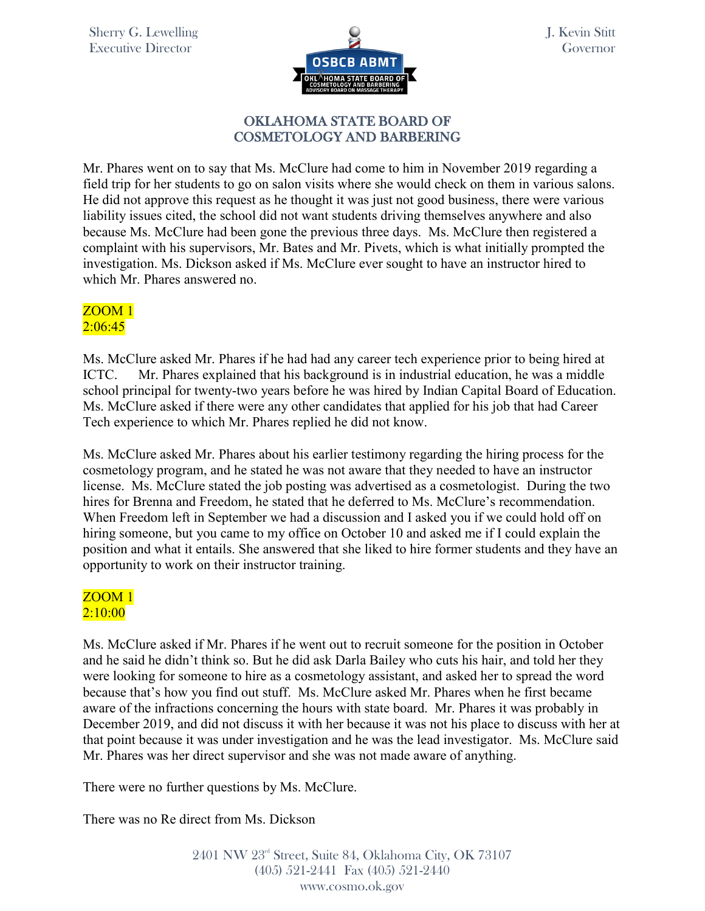

## OKLAHOMA STATE BOARD OF COSMETOLOGY AND BARBERING

Mr. Phares went on to say that Ms. McClure had come to him in November 2019 regarding a field trip for her students to go on salon visits where she would check on them in various salons. He did not approve this request as he thought it was just not good business, there were various liability issues cited, the school did not want students driving themselves anywhere and also because Ms. McClure had been gone the previous three days. Ms. McClure then registered a complaint with his supervisors, Mr. Bates and Mr. Pivets, which is what initially prompted the investigation. Ms. Dickson asked if Ms. McClure ever sought to have an instructor hired to which Mr. Phares answered no.

# ZOOM 1  $2:06:45$

Ms. McClure asked Mr. Phares if he had had any career tech experience prior to being hired at ICTC. Mr. Phares explained that his background is in industrial education, he was a middle school principal for twenty-two years before he was hired by Indian Capital Board of Education. Ms. McClure asked if there were any other candidates that applied for his job that had Career Tech experience to which Mr. Phares replied he did not know.

Ms. McClure asked Mr. Phares about his earlier testimony regarding the hiring process for the cosmetology program, and he stated he was not aware that they needed to have an instructor license. Ms. McClure stated the job posting was advertised as a cosmetologist. During the two hires for Brenna and Freedom, he stated that he deferred to Ms. McClure's recommendation. When Freedom left in September we had a discussion and I asked you if we could hold off on hiring someone, but you came to my office on October 10 and asked me if I could explain the position and what it entails. She answered that she liked to hire former students and they have an opportunity to work on their instructor training.

## ZOOM 1 2:10:00

Ms. McClure asked if Mr. Phares if he went out to recruit someone for the position in October and he said he didn't think so. But he did ask Darla Bailey who cuts his hair, and told her they were looking for someone to hire as a cosmetology assistant, and asked her to spread the word because that's how you find out stuff. Ms. McClure asked Mr. Phares when he first became aware of the infractions concerning the hours with state board. Mr. Phares it was probably in December 2019, and did not discuss it with her because it was not his place to discuss with her at that point because it was under investigation and he was the lead investigator. Ms. McClure said Mr. Phares was her direct supervisor and she was not made aware of anything.

There were no further questions by Ms. McClure.

There was no Re direct from Ms. Dickson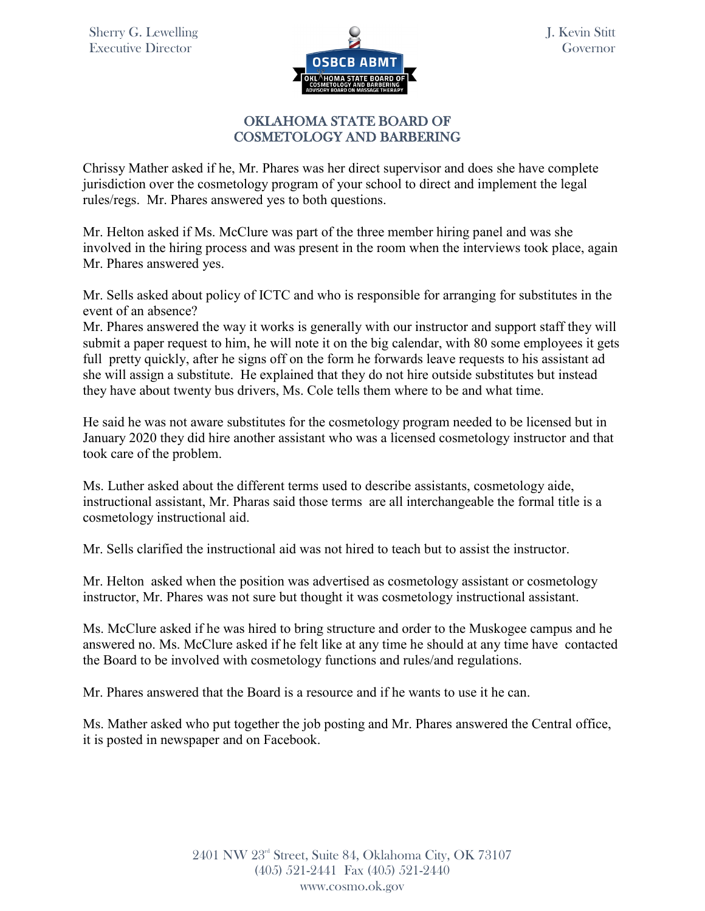

## OKLAHOMA STATE BOARD OF COSMETOLOGY AND BARBERING

Chrissy Mather asked if he, Mr. Phares was her direct supervisor and does she have complete jurisdiction over the cosmetology program of your school to direct and implement the legal rules/regs. Mr. Phares answered yes to both questions.

Mr. Helton asked if Ms. McClure was part of the three member hiring panel and was she involved in the hiring process and was present in the room when the interviews took place, again Mr. Phares answered yes.

Mr. Sells asked about policy of ICTC and who is responsible for arranging for substitutes in the event of an absence?

Mr. Phares answered the way it works is generally with our instructor and support staff they will submit a paper request to him, he will note it on the big calendar, with 80 some employees it gets full pretty quickly, after he signs off on the form he forwards leave requests to his assistant ad she will assign a substitute. He explained that they do not hire outside substitutes but instead they have about twenty bus drivers, Ms. Cole tells them where to be and what time.

He said he was not aware substitutes for the cosmetology program needed to be licensed but in January 2020 they did hire another assistant who was a licensed cosmetology instructor and that took care of the problem.

Ms. Luther asked about the different terms used to describe assistants, cosmetology aide, instructional assistant, Mr. Pharas said those terms are all interchangeable the formal title is a cosmetology instructional aid.

Mr. Sells clarified the instructional aid was not hired to teach but to assist the instructor.

Mr. Helton asked when the position was advertised as cosmetology assistant or cosmetology instructor, Mr. Phares was not sure but thought it was cosmetology instructional assistant.

Ms. McClure asked if he was hired to bring structure and order to the Muskogee campus and he answered no. Ms. McClure asked if he felt like at any time he should at any time have contacted the Board to be involved with cosmetology functions and rules/and regulations.

Mr. Phares answered that the Board is a resource and if he wants to use it he can.

Ms. Mather asked who put together the job posting and Mr. Phares answered the Central office, it is posted in newspaper and on Facebook.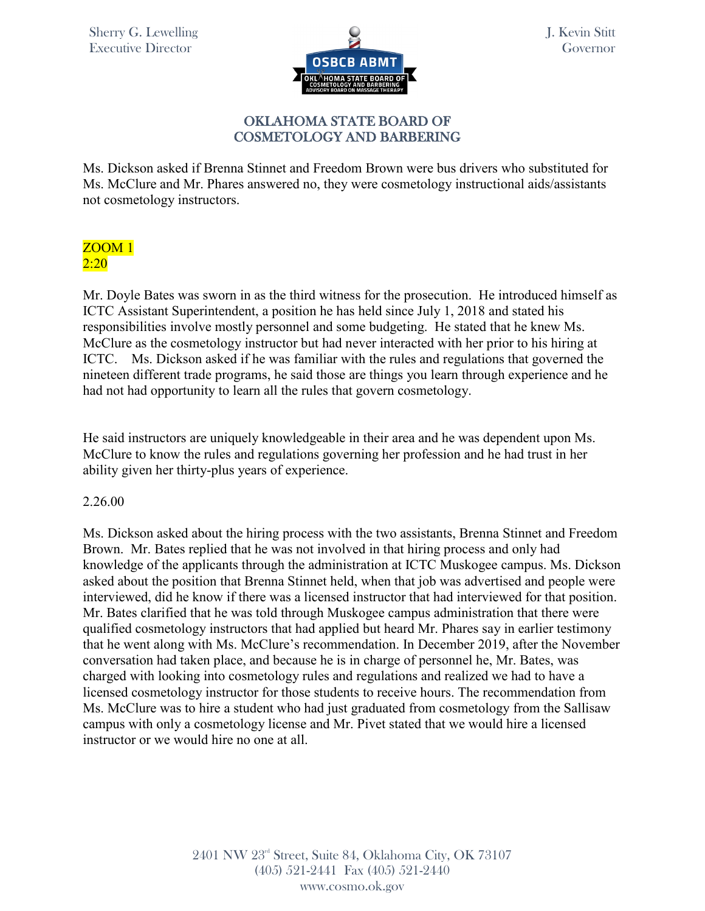

## OKLAHOMA STATE BOARD OF COSMETOLOGY AND BARBERING

Ms. Dickson asked if Brenna Stinnet and Freedom Brown were bus drivers who substituted for Ms. McClure and Mr. Phares answered no, they were cosmetology instructional aids/assistants not cosmetology instructors.

# ZOOM 1 2:20

Mr. Doyle Bates was sworn in as the third witness for the prosecution. He introduced himself as ICTC Assistant Superintendent, a position he has held since July 1, 2018 and stated his responsibilities involve mostly personnel and some budgeting. He stated that he knew Ms. McClure as the cosmetology instructor but had never interacted with her prior to his hiring at ICTC. Ms. Dickson asked if he was familiar with the rules and regulations that governed the nineteen different trade programs, he said those are things you learn through experience and he had not had opportunity to learn all the rules that govern cosmetology.

He said instructors are uniquely knowledgeable in their area and he was dependent upon Ms. McClure to know the rules and regulations governing her profession and he had trust in her ability given her thirty-plus years of experience.

## 2.26.00

Ms. Dickson asked about the hiring process with the two assistants, Brenna Stinnet and Freedom Brown. Mr. Bates replied that he was not involved in that hiring process and only had knowledge of the applicants through the administration at ICTC Muskogee campus. Ms. Dickson asked about the position that Brenna Stinnet held, when that job was advertised and people were interviewed, did he know if there was a licensed instructor that had interviewed for that position. Mr. Bates clarified that he was told through Muskogee campus administration that there were qualified cosmetology instructors that had applied but heard Mr. Phares say in earlier testimony that he went along with Ms. McClure's recommendation. In December 2019, after the November conversation had taken place, and because he is in charge of personnel he, Mr. Bates, was charged with looking into cosmetology rules and regulations and realized we had to have a licensed cosmetology instructor for those students to receive hours. The recommendation from Ms. McClure was to hire a student who had just graduated from cosmetology from the Sallisaw campus with only a cosmetology license and Mr. Pivet stated that we would hire a licensed instructor or we would hire no one at all.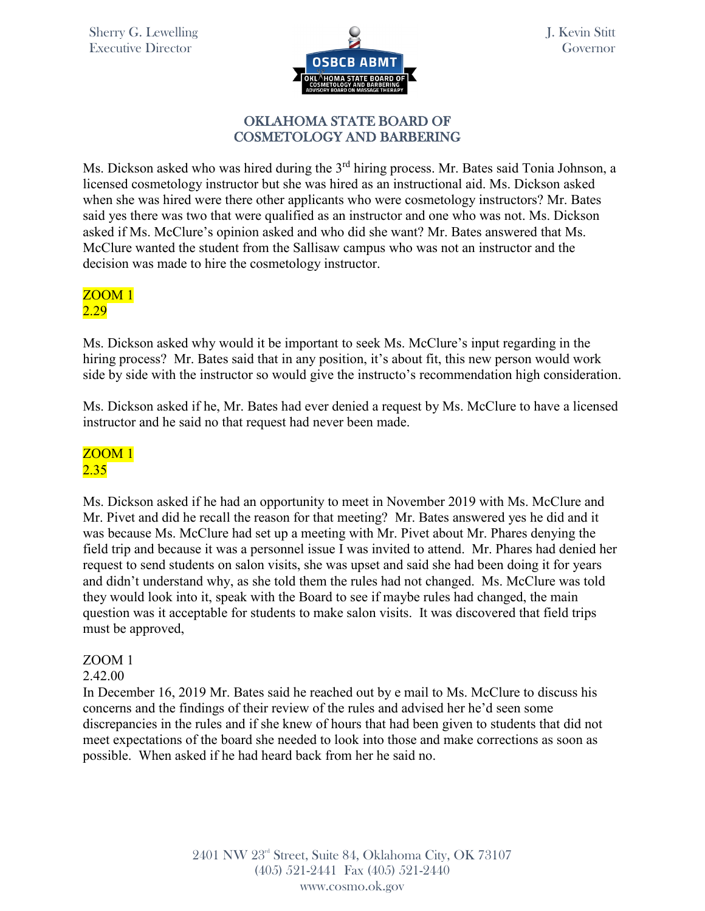

## OKLAHOMA STATE BOARD OF COSMETOLOGY AND BARBERING

Ms. Dickson asked who was hired during the 3<sup>rd</sup> hiring process. Mr. Bates said Tonia Johnson, a licensed cosmetology instructor but she was hired as an instructional aid. Ms. Dickson asked when she was hired were there other applicants who were cosmetology instructors? Mr. Bates said yes there was two that were qualified as an instructor and one who was not. Ms. Dickson asked if Ms. McClure's opinion asked and who did she want? Mr. Bates answered that Ms. McClure wanted the student from the Sallisaw campus who was not an instructor and the decision was made to hire the cosmetology instructor.

## ZOOM 1 2.29

Ms. Dickson asked why would it be important to seek Ms. McClure's input regarding in the hiring process? Mr. Bates said that in any position, it's about fit, this new person would work side by side with the instructor so would give the instructo's recommendation high consideration.

Ms. Dickson asked if he, Mr. Bates had ever denied a request by Ms. McClure to have a licensed instructor and he said no that request had never been made.

## ZOOM 1 2.35

Ms. Dickson asked if he had an opportunity to meet in November 2019 with Ms. McClure and Mr. Pivet and did he recall the reason for that meeting? Mr. Bates answered yes he did and it was because Ms. McClure had set up a meeting with Mr. Pivet about Mr. Phares denying the field trip and because it was a personnel issue I was invited to attend. Mr. Phares had denied her request to send students on salon visits, she was upset and said she had been doing it for years and didn't understand why, as she told them the rules had not changed. Ms. McClure was told they would look into it, speak with the Board to see if maybe rules had changed, the main question was it acceptable for students to make salon visits. It was discovered that field trips must be approved,

# ZOOM 1

## 2.42.00

In December 16, 2019 Mr. Bates said he reached out by e mail to Ms. McClure to discuss his concerns and the findings of their review of the rules and advised her he'd seen some discrepancies in the rules and if she knew of hours that had been given to students that did not meet expectations of the board she needed to look into those and make corrections as soon as possible. When asked if he had heard back from her he said no.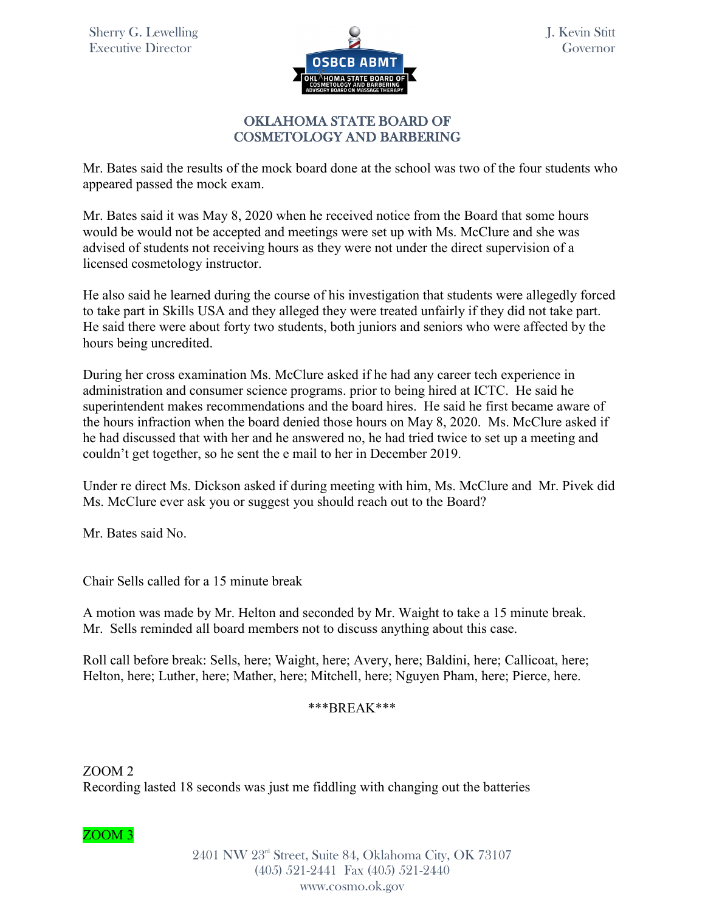

J. Kevin Stitt Governor

## OKLAHOMA STATE BOARD OF COSMETOLOGY AND BARBERING

Mr. Bates said the results of the mock board done at the school was two of the four students who appeared passed the mock exam.

Mr. Bates said it was May 8, 2020 when he received notice from the Board that some hours would be would not be accepted and meetings were set up with Ms. McClure and she was advised of students not receiving hours as they were not under the direct supervision of a licensed cosmetology instructor.

He also said he learned during the course of his investigation that students were allegedly forced to take part in Skills USA and they alleged they were treated unfairly if they did not take part. He said there were about forty two students, both juniors and seniors who were affected by the hours being uncredited.

During her cross examination Ms. McClure asked if he had any career tech experience in administration and consumer science programs. prior to being hired at ICTC. He said he superintendent makes recommendations and the board hires. He said he first became aware of the hours infraction when the board denied those hours on May 8, 2020. Ms. McClure asked if he had discussed that with her and he answered no, he had tried twice to set up a meeting and couldn't get together, so he sent the e mail to her in December 2019.

Under re direct Ms. Dickson asked if during meeting with him, Ms. McClure and Mr. Pivek did Ms. McClure ever ask you or suggest you should reach out to the Board?

Mr. Bates said No.

Chair Sells called for a 15 minute break

A motion was made by Mr. Helton and seconded by Mr. Waight to take a 15 minute break. Mr. Sells reminded all board members not to discuss anything about this case.

Roll call before break: Sells, here; Waight, here; Avery, here; Baldini, here; Callicoat, here; Helton, here; Luther, here; Mather, here; Mitchell, here; Nguyen Pham, here; Pierce, here.

## \*\*\*BREAK\*\*\*

ZOOM 2 Recording lasted 18 seconds was just me fiddling with changing out the batteries

ZOOM 3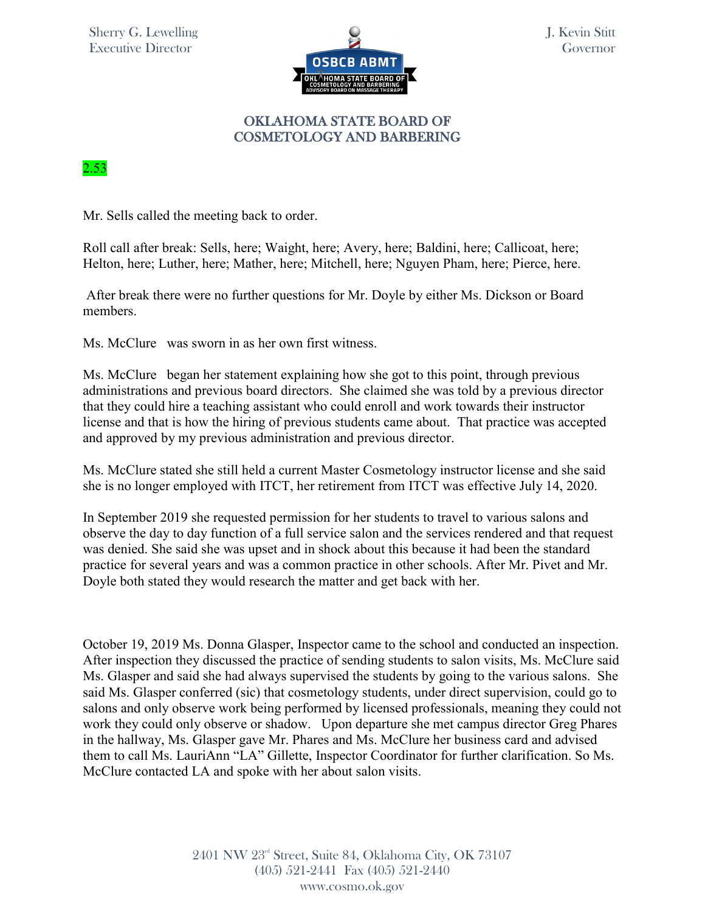

## 2.53

Mr. Sells called the meeting back to order.

Roll call after break: Sells, here; Waight, here; Avery, here; Baldini, here; Callicoat, here; Helton, here; Luther, here; Mather, here; Mitchell, here; Nguyen Pham, here; Pierce, here.

 After break there were no further questions for Mr. Doyle by either Ms. Dickson or Board members.

Ms. McClure was sworn in as her own first witness.

Ms. McClure began her statement explaining how she got to this point, through previous administrations and previous board directors. She claimed she was told by a previous director that they could hire a teaching assistant who could enroll and work towards their instructor license and that is how the hiring of previous students came about. That practice was accepted and approved by my previous administration and previous director.

Ms. McClure stated she still held a current Master Cosmetology instructor license and she said she is no longer employed with ITCT, her retirement from ITCT was effective July 14, 2020.

In September 2019 she requested permission for her students to travel to various salons and observe the day to day function of a full service salon and the services rendered and that request was denied. She said she was upset and in shock about this because it had been the standard practice for several years and was a common practice in other schools. After Mr. Pivet and Mr. Doyle both stated they would research the matter and get back with her.

October 19, 2019 Ms. Donna Glasper, Inspector came to the school and conducted an inspection. After inspection they discussed the practice of sending students to salon visits, Ms. McClure said Ms. Glasper and said she had always supervised the students by going to the various salons. She said Ms. Glasper conferred (sic) that cosmetology students, under direct supervision, could go to salons and only observe work being performed by licensed professionals, meaning they could not work they could only observe or shadow. Upon departure she met campus director Greg Phares in the hallway, Ms. Glasper gave Mr. Phares and Ms. McClure her business card and advised them to call Ms. LauriAnn "LA" Gillette, Inspector Coordinator for further clarification. So Ms. McClure contacted LA and spoke with her about salon visits.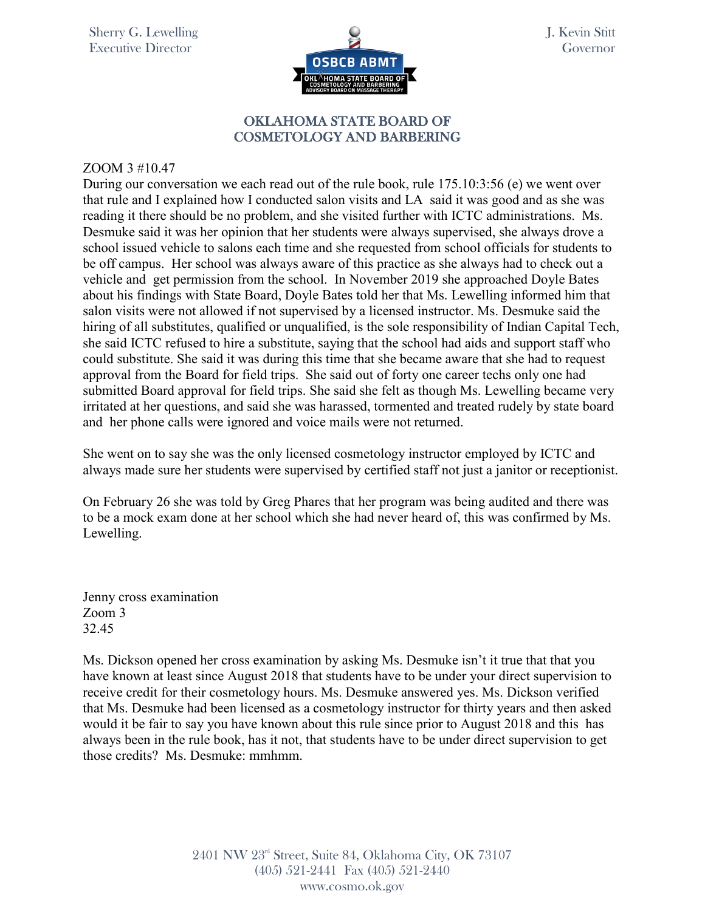

J. Kevin Stitt Governor

### OKLAHOMA STATE BOARD OF COSMETOLOGY AND BARBERING

#### ZOOM 3 #10.47

During our conversation we each read out of the rule book, rule 175.10:3:56 (e) we went over that rule and I explained how I conducted salon visits and LA said it was good and as she was reading it there should be no problem, and she visited further with ICTC administrations. Ms. Desmuke said it was her opinion that her students were always supervised, she always drove a school issued vehicle to salons each time and she requested from school officials for students to be off campus. Her school was always aware of this practice as she always had to check out a vehicle and get permission from the school. In November 2019 she approached Doyle Bates about his findings with State Board, Doyle Bates told her that Ms. Lewelling informed him that salon visits were not allowed if not supervised by a licensed instructor. Ms. Desmuke said the hiring of all substitutes, qualified or unqualified, is the sole responsibility of Indian Capital Tech, she said ICTC refused to hire a substitute, saying that the school had aids and support staff who could substitute. She said it was during this time that she became aware that she had to request approval from the Board for field trips. She said out of forty one career techs only one had submitted Board approval for field trips. She said she felt as though Ms. Lewelling became very irritated at her questions, and said she was harassed, tormented and treated rudely by state board and her phone calls were ignored and voice mails were not returned.

She went on to say she was the only licensed cosmetology instructor employed by ICTC and always made sure her students were supervised by certified staff not just a janitor or receptionist.

On February 26 she was told by Greg Phares that her program was being audited and there was to be a mock exam done at her school which she had never heard of, this was confirmed by Ms. Lewelling.

Jenny cross examination Zoom 3 32.45

Ms. Dickson opened her cross examination by asking Ms. Desmuke isn't it true that that you have known at least since August 2018 that students have to be under your direct supervision to receive credit for their cosmetology hours. Ms. Desmuke answered yes. Ms. Dickson verified that Ms. Desmuke had been licensed as a cosmetology instructor for thirty years and then asked would it be fair to say you have known about this rule since prior to August 2018 and this has always been in the rule book, has it not, that students have to be under direct supervision to get those credits? Ms. Desmuke: mmhmm.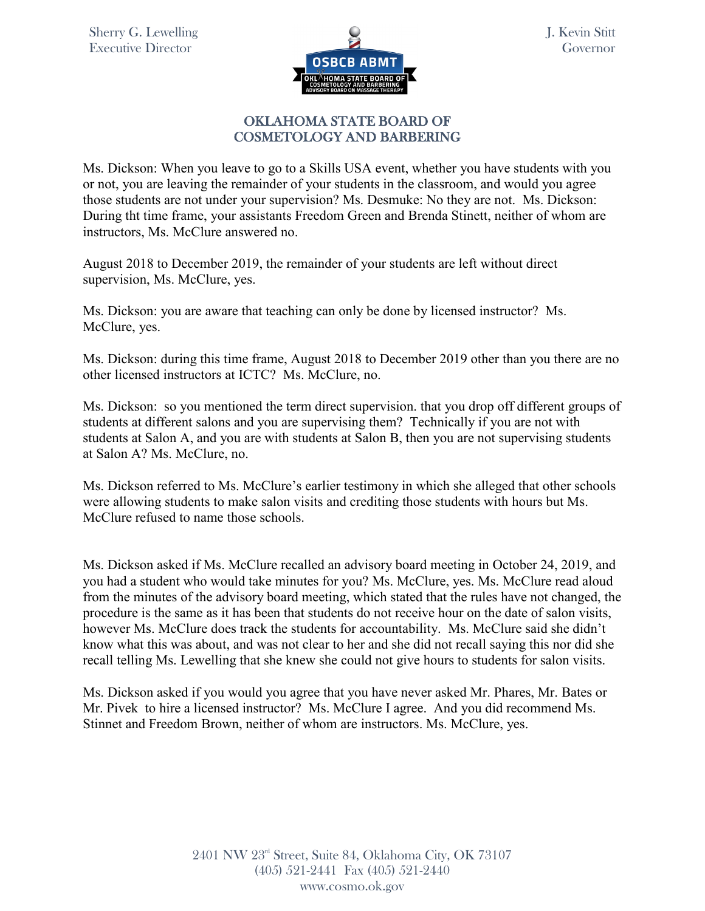

Ms. Dickson: When you leave to go to a Skills USA event, whether you have students with you or not, you are leaving the remainder of your students in the classroom, and would you agree those students are not under your supervision? Ms. Desmuke: No they are not. Ms. Dickson: During tht time frame, your assistants Freedom Green and Brenda Stinett, neither of whom are instructors, Ms. McClure answered no.

August 2018 to December 2019, the remainder of your students are left without direct supervision, Ms. McClure, yes.

Ms. Dickson: you are aware that teaching can only be done by licensed instructor? Ms. McClure, yes.

Ms. Dickson: during this time frame, August 2018 to December 2019 other than you there are no other licensed instructors at ICTC? Ms. McClure, no.

Ms. Dickson: so you mentioned the term direct supervision. that you drop off different groups of students at different salons and you are supervising them? Technically if you are not with students at Salon A, and you are with students at Salon B, then you are not supervising students at Salon A? Ms. McClure, no.

Ms. Dickson referred to Ms. McClure's earlier testimony in which she alleged that other schools were allowing students to make salon visits and crediting those students with hours but Ms. McClure refused to name those schools.

Ms. Dickson asked if Ms. McClure recalled an advisory board meeting in October 24, 2019, and you had a student who would take minutes for you? Ms. McClure, yes. Ms. McClure read aloud from the minutes of the advisory board meeting, which stated that the rules have not changed, the procedure is the same as it has been that students do not receive hour on the date of salon visits, however Ms. McClure does track the students for accountability. Ms. McClure said she didn't know what this was about, and was not clear to her and she did not recall saying this nor did she recall telling Ms. Lewelling that she knew she could not give hours to students for salon visits.

Ms. Dickson asked if you would you agree that you have never asked Mr. Phares, Mr. Bates or Mr. Pivek to hire a licensed instructor? Ms. McClure I agree. And you did recommend Ms. Stinnet and Freedom Brown, neither of whom are instructors. Ms. McClure, yes.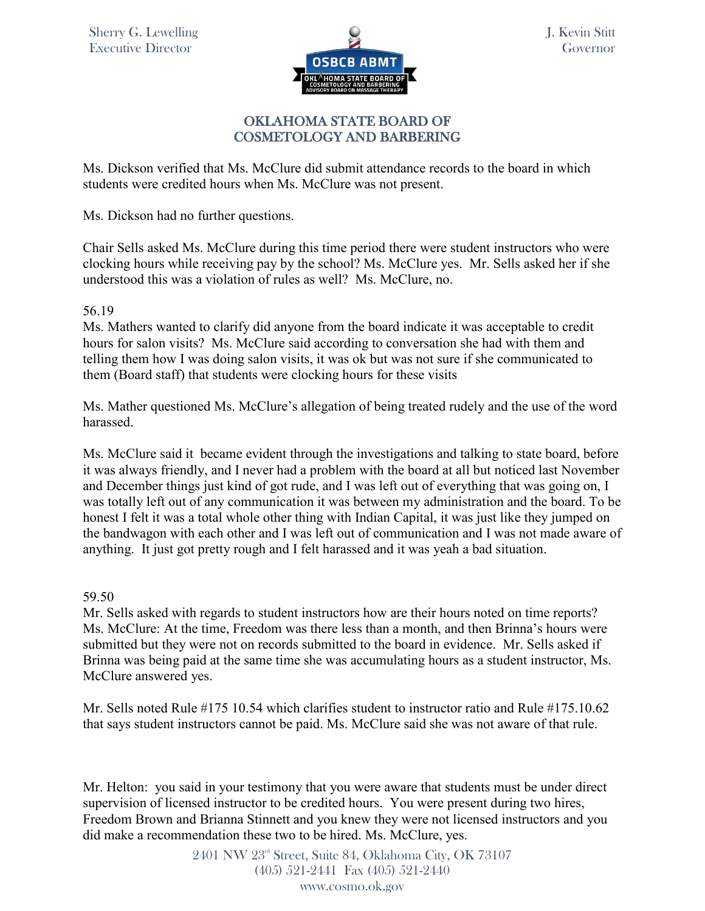

## OKLAHOMA STATE BOARD OF COSMETOLOGY AND BARBERING

Ms. Dickson verified that Ms. McClure did submit attendance records to the board in which students were credited hours when Ms. McClure was not present.

Ms. Dickson had no further questions.

Chair Sells asked Ms. McClure during this time period there were student instructors who were clocking hours while receiving pay by the school? Ms. McClure yes. Mr. Sells asked her if she understood this was a violation of rules as well? Ms. McClure, no.

### 56.19

Ms. Mathers wanted to clarify did anyone from the board indicate it was acceptable to credit hours for salon visits? Ms. McClure said according to conversation she had with them and telling them how I was doing salon visits, it was ok but was not sure if she communicated to them (Board staff) that students were clocking hours for these visits

Ms. Mather questioned Ms. McClure's allegation of being treated rudely and the use of the word harassed.

Ms. McClure said it became evident through the investigations and talking to state board, before it was always friendly, and I never had a problem with the board at all but noticed last November and December things just kind of got rude, and I was left out of everything that was going on, I was totally left out of any communication it was between my administration and the board. To be honest I felt it was a total whole other thing with Indian Capital, it was just like they jumped on the bandwagon with each other and I was left out of communication and I was not made aware of anything. It just got pretty rough and I felt harassed and it was yeah a bad situation.

### 59.50

Mr. Sells asked with regards to student instructors how are their hours noted on time reports? Ms. McClure: At the time, Freedom was there less than a month, and then Brinna's hours were submitted but they were not on records submitted to the board in evidence. Mr. Sells asked if Brinna was being paid at the same time she was accumulating hours as a student instructor, Ms. McClure answered yes.

Mr. Sells noted Rule #175 10.54 which clarifies student to instructor ratio and Rule #175.10.62 that says student instructors cannot be paid. Ms. McClure said she was not aware of that rule.

Mr. Helton: you said in your testimony that you were aware that students must be under direct supervision of licensed instructor to be credited hours. You were present during two hires, Freedom Brown and Brianna Stinnett and you knew they were not licensed instructors and you did make a recommendation these two to be hired. Ms. McClure, yes.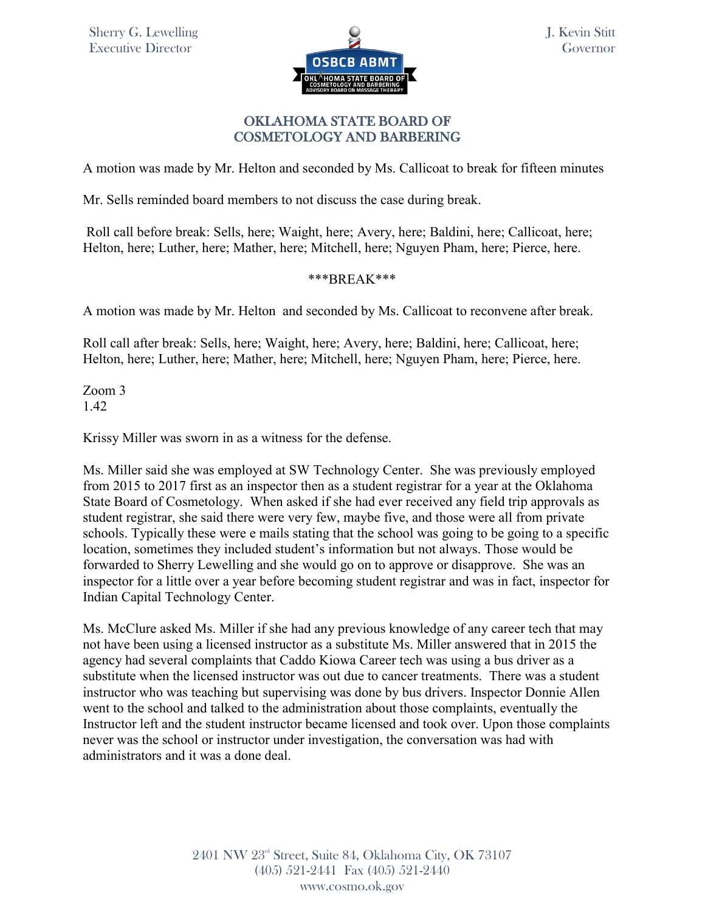

## OKLAHOMA STATE BOARD OF COSMETOLOGY AND BARBERING

A motion was made by Mr. Helton and seconded by Ms. Callicoat to break for fifteen minutes

Mr. Sells reminded board members to not discuss the case during break.

Roll call before break: Sells, here; Waight, here; Avery, here; Baldini, here; Callicoat, here; Helton, here; Luther, here; Mather, here; Mitchell, here; Nguyen Pham, here; Pierce, here.

### \*\*\*BREAK\*\*\*

A motion was made by Mr. Helton and seconded by Ms. Callicoat to reconvene after break.

Roll call after break: Sells, here; Waight, here; Avery, here; Baldini, here; Callicoat, here; Helton, here; Luther, here; Mather, here; Mitchell, here; Nguyen Pham, here; Pierce, here.

Zoom 3 1.42

Krissy Miller was sworn in as a witness for the defense.

Ms. Miller said she was employed at SW Technology Center. She was previously employed from 2015 to 2017 first as an inspector then as a student registrar for a year at the Oklahoma State Board of Cosmetology. When asked if she had ever received any field trip approvals as student registrar, she said there were very few, maybe five, and those were all from private schools. Typically these were e mails stating that the school was going to be going to a specific location, sometimes they included student's information but not always. Those would be forwarded to Sherry Lewelling and she would go on to approve or disapprove. She was an inspector for a little over a year before becoming student registrar and was in fact, inspector for Indian Capital Technology Center.

Ms. McClure asked Ms. Miller if she had any previous knowledge of any career tech that may not have been using a licensed instructor as a substitute Ms. Miller answered that in 2015 the agency had several complaints that Caddo Kiowa Career tech was using a bus driver as a substitute when the licensed instructor was out due to cancer treatments. There was a student instructor who was teaching but supervising was done by bus drivers. Inspector Donnie Allen went to the school and talked to the administration about those complaints, eventually the Instructor left and the student instructor became licensed and took over. Upon those complaints never was the school or instructor under investigation, the conversation was had with administrators and it was a done deal.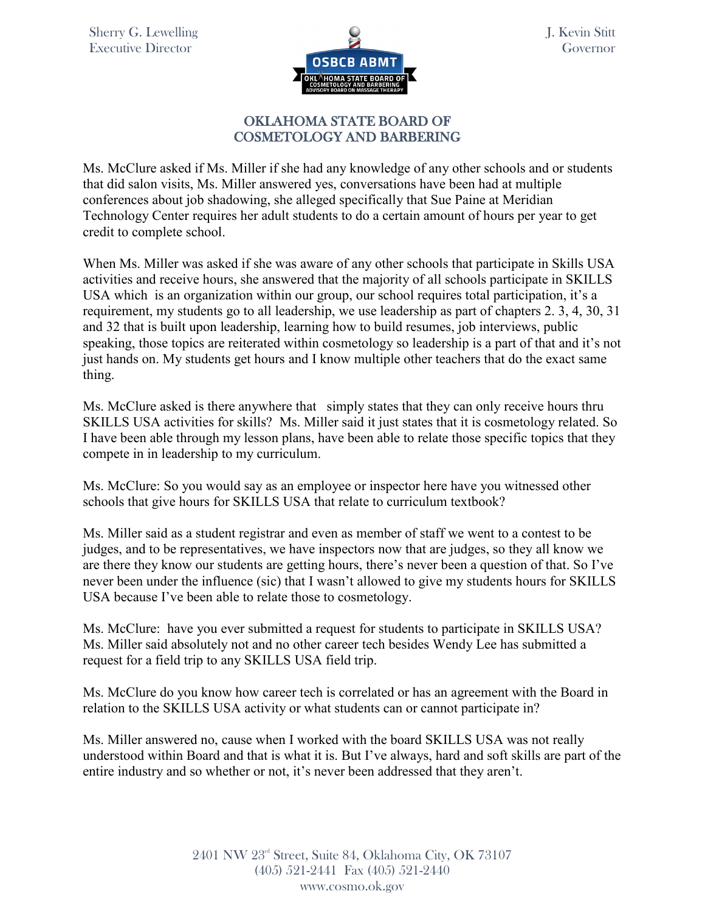

## OKLAHOMA STATE BOARD OF COSMETOLOGY AND BARBERING

Ms. McClure asked if Ms. Miller if she had any knowledge of any other schools and or students that did salon visits, Ms. Miller answered yes, conversations have been had at multiple conferences about job shadowing, she alleged specifically that Sue Paine at Meridian Technology Center requires her adult students to do a certain amount of hours per year to get credit to complete school.

When Ms. Miller was asked if she was aware of any other schools that participate in Skills USA activities and receive hours, she answered that the majority of all schools participate in SKILLS USA which is an organization within our group, our school requires total participation, it's a requirement, my students go to all leadership, we use leadership as part of chapters 2. 3, 4, 30, 31 and 32 that is built upon leadership, learning how to build resumes, job interviews, public speaking, those topics are reiterated within cosmetology so leadership is a part of that and it's not just hands on. My students get hours and I know multiple other teachers that do the exact same thing.

Ms. McClure asked is there anywhere that simply states that they can only receive hours thru SKILLS USA activities for skills? Ms. Miller said it just states that it is cosmetology related. So I have been able through my lesson plans, have been able to relate those specific topics that they compete in in leadership to my curriculum.

Ms. McClure: So you would say as an employee or inspector here have you witnessed other schools that give hours for SKILLS USA that relate to curriculum textbook?

Ms. Miller said as a student registrar and even as member of staff we went to a contest to be judges, and to be representatives, we have inspectors now that are judges, so they all know we are there they know our students are getting hours, there's never been a question of that. So I've never been under the influence (sic) that I wasn't allowed to give my students hours for SKILLS USA because I've been able to relate those to cosmetology.

Ms. McClure: have you ever submitted a request for students to participate in SKILLS USA? Ms. Miller said absolutely not and no other career tech besides Wendy Lee has submitted a request for a field trip to any SKILLS USA field trip.

Ms. McClure do you know how career tech is correlated or has an agreement with the Board in relation to the SKILLS USA activity or what students can or cannot participate in?

Ms. Miller answered no, cause when I worked with the board SKILLS USA was not really understood within Board and that is what it is. But I've always, hard and soft skills are part of the entire industry and so whether or not, it's never been addressed that they aren't.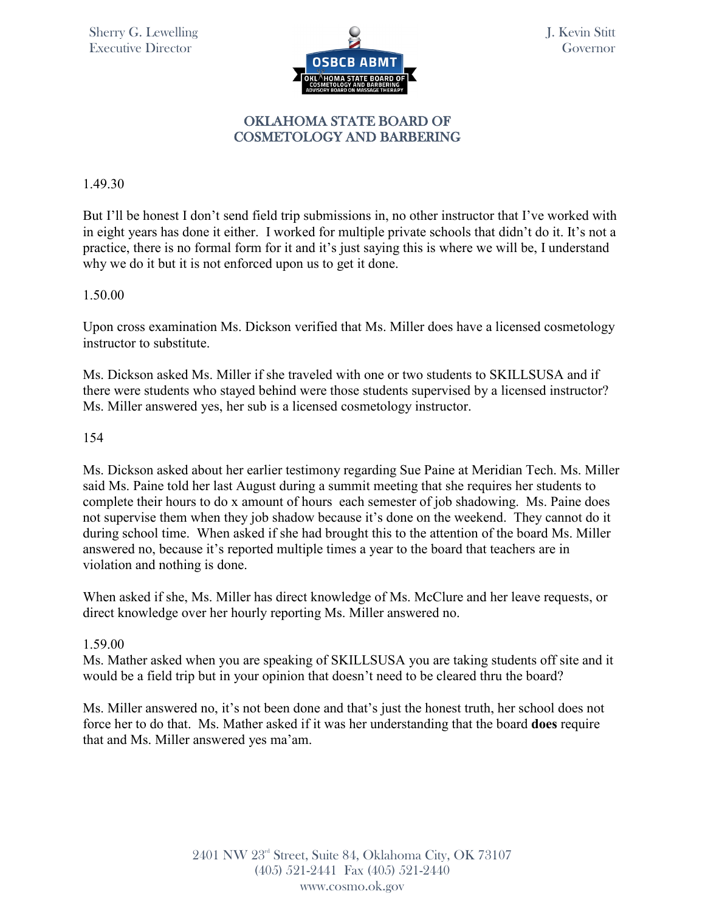

## 1.49.30

But I'll be honest I don't send field trip submissions in, no other instructor that I've worked with in eight years has done it either. I worked for multiple private schools that didn't do it. It's not a practice, there is no formal form for it and it's just saying this is where we will be, I understand why we do it but it is not enforced upon us to get it done.

## 1.50.00

Upon cross examination Ms. Dickson verified that Ms. Miller does have a licensed cosmetology instructor to substitute.

Ms. Dickson asked Ms. Miller if she traveled with one or two students to SKILLSUSA and if there were students who stayed behind were those students supervised by a licensed instructor? Ms. Miller answered yes, her sub is a licensed cosmetology instructor.

## 154

Ms. Dickson asked about her earlier testimony regarding Sue Paine at Meridian Tech. Ms. Miller said Ms. Paine told her last August during a summit meeting that she requires her students to complete their hours to do x amount of hours each semester of job shadowing. Ms. Paine does not supervise them when they job shadow because it's done on the weekend. They cannot do it during school time. When asked if she had brought this to the attention of the board Ms. Miller answered no, because it's reported multiple times a year to the board that teachers are in violation and nothing is done.

When asked if she, Ms. Miller has direct knowledge of Ms. McClure and her leave requests, or direct knowledge over her hourly reporting Ms. Miller answered no.

## 1.59.00

Ms. Mather asked when you are speaking of SKILLSUSA you are taking students off site and it would be a field trip but in your opinion that doesn't need to be cleared thru the board?

Ms. Miller answered no, it's not been done and that's just the honest truth, her school does not force her to do that. Ms. Mather asked if it was her understanding that the board **does** require that and Ms. Miller answered yes ma'am.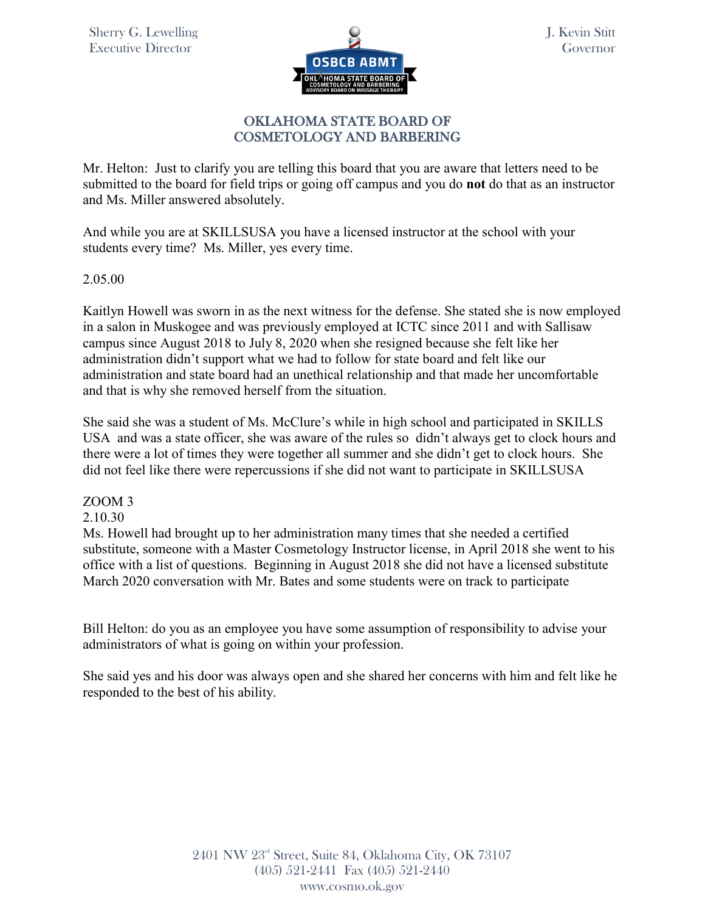

Mr. Helton: Just to clarify you are telling this board that you are aware that letters need to be submitted to the board for field trips or going off campus and you do **not** do that as an instructor and Ms. Miller answered absolutely.

And while you are at SKILLSUSA you have a licensed instructor at the school with your students every time? Ms. Miller, yes every time.

2.05.00

Kaitlyn Howell was sworn in as the next witness for the defense. She stated she is now employed in a salon in Muskogee and was previously employed at ICTC since 2011 and with Sallisaw campus since August 2018 to July 8, 2020 when she resigned because she felt like her administration didn't support what we had to follow for state board and felt like our administration and state board had an unethical relationship and that made her uncomfortable and that is why she removed herself from the situation.

She said she was a student of Ms. McClure's while in high school and participated in SKILLS USA and was a state officer, she was aware of the rules so didn't always get to clock hours and there were a lot of times they were together all summer and she didn't get to clock hours. She did not feel like there were repercussions if she did not want to participate in SKILLSUSA

## ZOOM 3

### 2.10.30

Ms. Howell had brought up to her administration many times that she needed a certified substitute, someone with a Master Cosmetology Instructor license, in April 2018 she went to his office with a list of questions. Beginning in August 2018 she did not have a licensed substitute March 2020 conversation with Mr. Bates and some students were on track to participate

Bill Helton: do you as an employee you have some assumption of responsibility to advise your administrators of what is going on within your profession.

She said yes and his door was always open and she shared her concerns with him and felt like he responded to the best of his ability.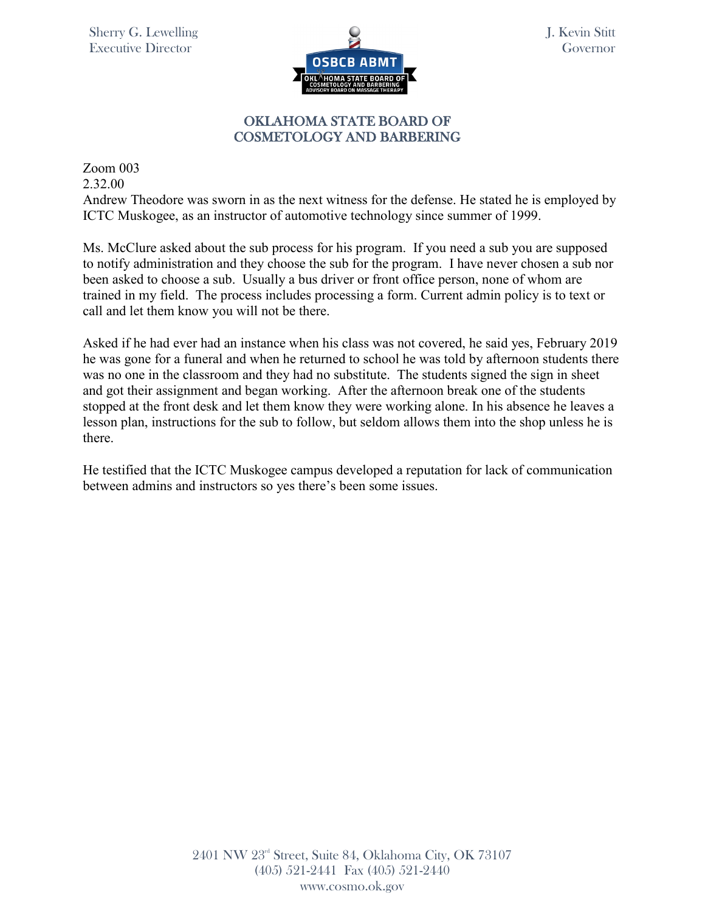

J. Kevin Stitt Governor

## OKLAHOMA STATE BOARD OF COSMETOLOGY AND BARBERING

Zoom 003 2.32.00

Andrew Theodore was sworn in as the next witness for the defense. He stated he is employed by ICTC Muskogee, as an instructor of automotive technology since summer of 1999.

Ms. McClure asked about the sub process for his program. If you need a sub you are supposed to notify administration and they choose the sub for the program. I have never chosen a sub nor been asked to choose a sub. Usually a bus driver or front office person, none of whom are trained in my field. The process includes processing a form. Current admin policy is to text or call and let them know you will not be there.

Asked if he had ever had an instance when his class was not covered, he said yes, February 2019 he was gone for a funeral and when he returned to school he was told by afternoon students there was no one in the classroom and they had no substitute. The students signed the sign in sheet and got their assignment and began working. After the afternoon break one of the students stopped at the front desk and let them know they were working alone. In his absence he leaves a lesson plan, instructions for the sub to follow, but seldom allows them into the shop unless he is there.

He testified that the ICTC Muskogee campus developed a reputation for lack of communication between admins and instructors so yes there's been some issues.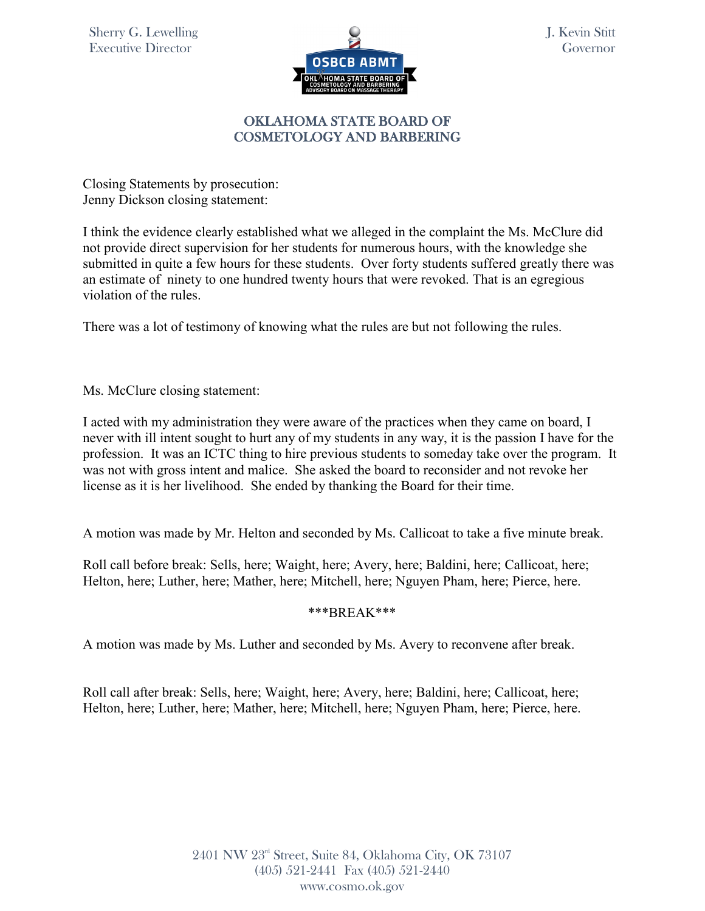

J. Kevin Stitt Governor

## OKLAHOMA STATE BOARD OF COSMETOLOGY AND BARBERING

Closing Statements by prosecution: Jenny Dickson closing statement:

I think the evidence clearly established what we alleged in the complaint the Ms. McClure did not provide direct supervision for her students for numerous hours, with the knowledge she submitted in quite a few hours for these students. Over forty students suffered greatly there was an estimate of ninety to one hundred twenty hours that were revoked. That is an egregious violation of the rules.

There was a lot of testimony of knowing what the rules are but not following the rules.

Ms. McClure closing statement:

I acted with my administration they were aware of the practices when they came on board, I never with ill intent sought to hurt any of my students in any way, it is the passion I have for the profession. It was an ICTC thing to hire previous students to someday take over the program. It was not with gross intent and malice. She asked the board to reconsider and not revoke her license as it is her livelihood. She ended by thanking the Board for their time.

A motion was made by Mr. Helton and seconded by Ms. Callicoat to take a five minute break.

Roll call before break: Sells, here; Waight, here; Avery, here; Baldini, here; Callicoat, here; Helton, here; Luther, here; Mather, here; Mitchell, here; Nguyen Pham, here; Pierce, here.

### \*\*\*BREAK\*\*\*

A motion was made by Ms. Luther and seconded by Ms. Avery to reconvene after break.

Roll call after break: Sells, here; Waight, here; Avery, here; Baldini, here; Callicoat, here; Helton, here; Luther, here; Mather, here; Mitchell, here; Nguyen Pham, here; Pierce, here.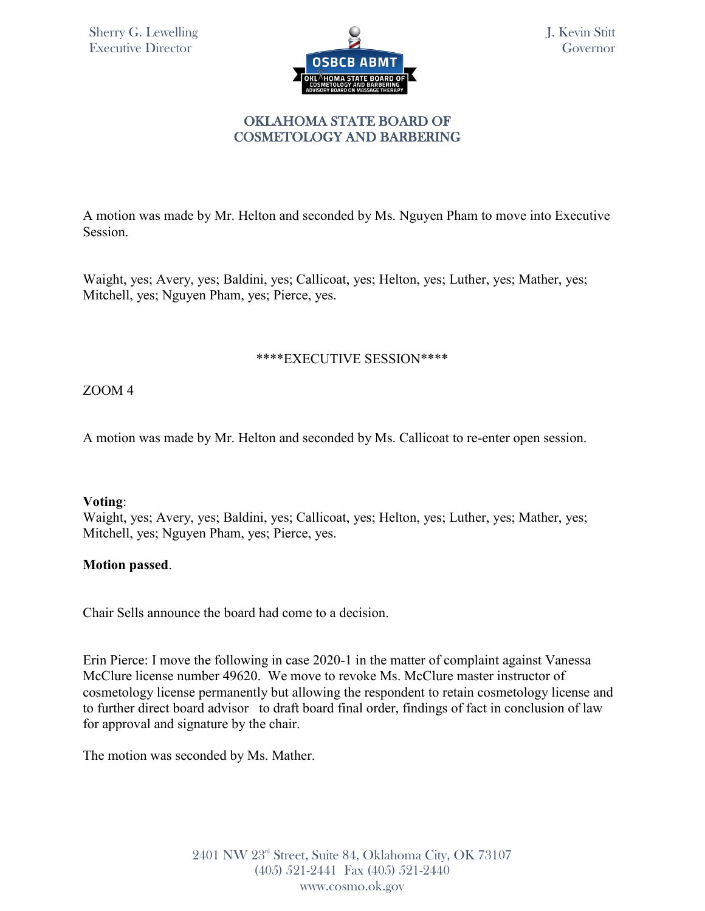

J. Kevin Stitt Governor

## OKLAHOMA STATE BOARD OF COSMETOLOGY AND BARBERING

A motion was made by Mr. Helton and seconded by Ms. Nguyen Pham to move into Executive Session.

Waight, yes; Avery, yes; Baldini, yes; Callicoat, yes; Helton, yes; Luther, yes; Mather, yes; Mitchell, yes; Nguyen Pham, yes; Pierce, yes.

### \*\*\*\*EXECUTIVE SESSION\*\*\*\*

ZOOM 4

A motion was made by Mr. Helton and seconded by Ms. Callicoat to re-enter open session.

### **Voting**:

Waight, yes; Avery, yes; Baldini, yes; Callicoat, yes; Helton, yes; Luther, yes; Mather, yes; Mitchell, yes; Nguyen Pham, yes; Pierce, yes.

### **Motion passed**.

Chair Sells announce the board had come to a decision.

Erin Pierce: I move the following in case 2020-1 in the matter of complaint against Vanessa McClure license number 49620. We move to revoke Ms. McClure master instructor of cosmetology license permanently but allowing the respondent to retain cosmetology license and to further direct board advisor to draft board final order, findings of fact in conclusion of law for approval and signature by the chair.

The motion was seconded by Ms. Mather.